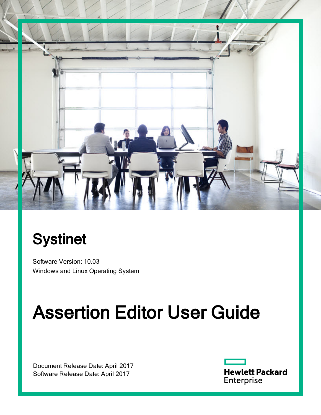

## **Systinet**

Software Version: 10.03 Windows and Linux Operating System

# Assertion Editor User Guide

Document Release Date: April 2017 Software Release Date: April 2017

**Hewlett Packard** Enterprise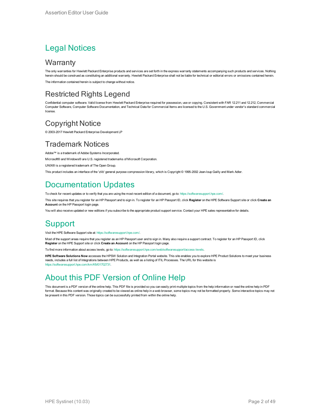#### Legal Notices

#### **Warranty**

The only warranties for Hewlett Packard Enterprise products and services are set forth in the express warranty statements accompanying such products and services. Nothing herein should be construed as constituting an additional warranty. Hewlett Packard Enterprise shall not be liable for technical or editorial errors or omissions contained herein. The information contained herein is subject to change without notice.

#### Restricted Rights Legend

Confidential computer software. Valid license from Hewlett Packard Enterprise required for possession, use or copying. Consistent with FAR 12.211 and 12.212, Commercial Computer Software, Computer Software Documentation, and Technical Data for Commercial Items are licensed to the U.S. Government under vendor's standard commercial license.

#### Copyright Notice

© 2003-2017 Hewlett Packard Enterprise Development LP

#### Trademark Notices

Adobe™ is a trademark of Adobe Systems Incorporated.

Microsoft® and Windows® are U.S. registered trademarks of Microsoft Corporation.

UNIX® is a registered trademark of The Open Group.

This product includes an interface of the 'zlib' general purpose compression library, which is Copyright © 1995-2002 Jean-loup Gailly and Mark Adler.

#### Documentation Updates

To check for recent updates or to verify that you are using the most recent edition of a document, go to: <https://softwaresupport.hpe.com/>.

This site requires that you register for an HP Passport and to sign in. To register for an HP Passport ID, click **Register** on the HPE Software Support site or click **Create an Account** on the HP Passport login page.

You will also receive updated or new editions if you subscribe to the appropriate product support service. Contact your HPE sales representative for details.

#### **Support**

Visit the HPE Software Support site at: <https://softwaresupport.hpe.com/>.

Most of the support areas require that you register as an HP Passport user and to sign in. Many also require a support contract. To register for an HP Passport ID, click **Register** on the HPE Support site or click **Create an Account** on the HP Passport login page.

To find more information about access levels, go to: <https://softwaresupport.hpe.com/web/softwaresupport/access-levels>.

**HPE Software Solutions Now** accesses the HPSW Solution and Integration Portal website. This site enables you to explore HPE Product Solutions to meet your business needs, includes a full list of Integrations between HPE Products, as well as a listing of ITIL Processes. The URL for this website is [https://softwaresupport.hpe.com/km/KM01702731.](https://softwaresupport.hpe.com/km/KM01702731)

#### About this PDF Version of Online Help

This document is a PDF version of the online help. This PDF file is provided so you can easily print multiple topics from the help information or read the online help in PDF format. Because this content was originally created to be viewed as online help in a web browser, some topics may not be formatted properly. Some interactive topics may not be present in this PDF version. Those topics can be successfully printed from within the online help.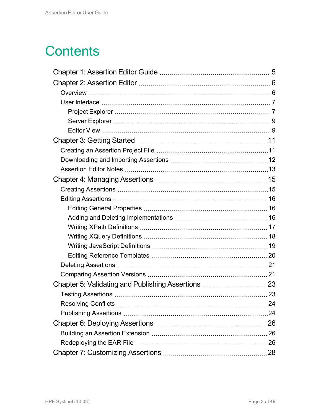### **Contents**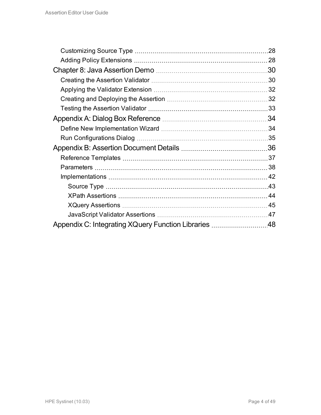|                                                      | 28        |
|------------------------------------------------------|-----------|
|                                                      |           |
|                                                      | .30       |
|                                                      | .30       |
|                                                      | 32        |
|                                                      |           |
|                                                      |           |
|                                                      | .34       |
|                                                      | 34        |
|                                                      |           |
|                                                      | 36        |
|                                                      |           |
|                                                      | 38        |
|                                                      |           |
|                                                      |           |
|                                                      | 44        |
|                                                      | 45        |
|                                                      | <b>47</b> |
| Appendix C: Integrating XQuery Function Libraries 48 |           |
|                                                      |           |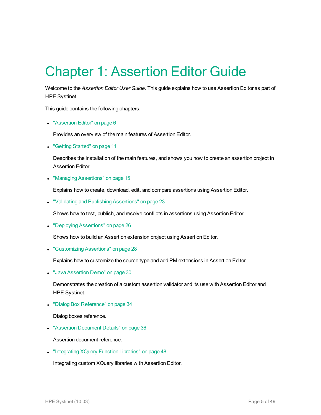### <span id="page-4-0"></span>Chapter 1: Assertion Editor Guide

Welcome to the *Assertion Editor User Guide*. This guide explains how to use Assertion Editor as part of HPE Systinet.

This guide contains the following chapters:

• ["Assertion](#page-5-0) Editor" on page 6

Provides an overview of the main features of Assertion Editor.

**.** ["Getting](#page-10-0) Started" on page 11

Describes the installation of the main features, and shows you how to create an assertion project in Assertion Editor.

• "Managing [Assertions"](#page-14-0) on page 15

Explains how to create, download, edit, and compare assertions using Assertion Editor.

**.** "Validating and Publishing [Assertions"](#page-22-0) on page 23

Shows how to test, publish, and resolve conflicts in assertions using Assertion Editor.

• "Deploying [Assertions"](#page-25-0) on page 26

Shows how to build an Assertion extension project using Assertion Editor.

**.** ["Customizing](#page-27-0) Assertions" on page 28

Explains how to customize the source type and add PM extensions in Assertion Editor.

**.** "Java [Assertion](#page-29-0) Demo" on page 30

Demonstrates the creation of a custom assertion validator and its use with Assertion Editor and HPE Systinet.

• "Dialog Box [Reference"](#page-33-0) on page 34

Dialog boxes reference.

**.** ["Assertion](#page-35-0) Document Details" on page 36

Assertion document reference.

• ["Integrating](#page-47-0) XQuery Function Libraries" on page 48

Integrating custom XQuery libraries with Assertion Editor.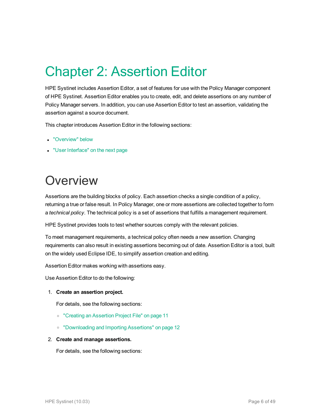### <span id="page-5-0"></span>Chapter 2: Assertion Editor

HPE Systinet includes Assertion Editor, a set of features for use with the Policy Manager component of HPE Systinet. Assertion Editor enables you to create, edit, and delete assertions on any number of Policy Manager servers. In addition, you can use Assertion Editor to test an assertion, validating the assertion against a source document.

This chapter introduces Assertion Editor in the following sections:

- ["Overview"](#page-5-1) below
- <span id="page-5-1"></span>• "User [Interface"](#page-6-0) on the next page

#### **Overview**

Assertions are the building blocks of policy. Each assertion checks a single condition of a policy, returning a true or false result. In Policy Manager, one or more assertions are collected together to form a *technical policy*. The technical policy is a set of assertions that fulfills a management requirement.

HPE Systinet provides tools to test whether sources comply with the relevant policies.

To meet management requirements, a technical policy often needs a new assertion. Changing requirements can also result in existing assertions becoming out of date. Assertion Editor is a tool, built on the widely used Eclipse IDE, to simplify assertion creation and editing.

Assertion Editor makes working with assertions easy.

Use Assertion Editor to do the following:

1. **Create an assertion project.**

For details, see the following sections:

- <sup>o</sup> "Creating an [Assertion](#page-10-1) Project File" on page 11
- <sup>o</sup> ["Downloading](#page-11-0) and Importing Assertions" on page 12
- 2. **Create and manage assertions.**

For details, see the following sections: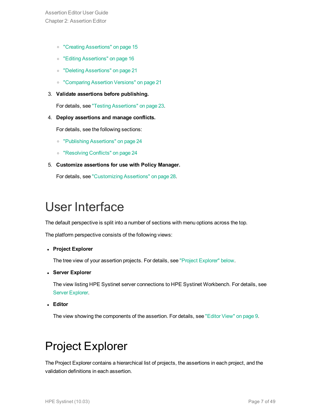Assertion Editor User Guide Chapter 2: Assertion Editor

- <sup>o</sup> "Creating [Assertions"](#page-14-1) on page 15
- <sup>o</sup> "Editing [Assertions"](#page-15-0) on page 16
- <sup>o</sup> "Deleting [Assertions"](#page-20-0) on page 21
- <sup>o</sup> ["Comparing](#page-20-1) Assertion Versions" on page 21
- 3. **Validate assertions before publishing.**

For details, see "Testing [Assertions"](#page-22-1) on page 23.

4. **Deploy assertions and manage conflicts.**

For details, see the following sections:

- <sup>o</sup> "Publishing [Assertions"](#page-23-1) on page 24
- <sup>o</sup> ["Resolving](#page-23-0) Conflicts" on page 24
- 5. **Customize assertions for use with Policy Manager.**

For details, see ["Customizing](#page-27-0) Assertions" on page 28.

### <span id="page-6-0"></span>User Interface

The default perspective is split into a number of sections with menu options across the top.

The platform perspective consists of the following views:

<sup>l</sup> **Project Explorer**

The tree view of your assertion projects. For details, see "Project [Explorer"](#page-6-1) below.

<sup>l</sup> **Server Explorer**

The view listing HPE Systinet server connections to HPE Systinet Workbench. For details, see Server Explorer.

<sup>l</sup> **Editor**

<span id="page-6-1"></span>The view showing the components of the assertion. For details, see ["Editor](#page-8-1) View" on page 9.

### Project Explorer

The Project Explorer contains a hierarchical list of projects, the assertions in each project, and the validation definitions in each assertion.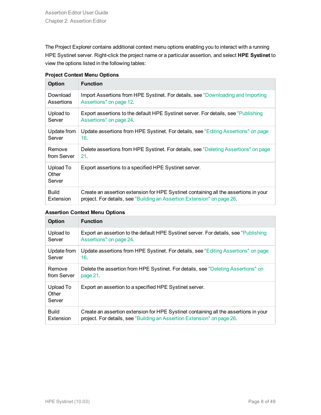The Project Explorer contains additional context menu options enabling you to interact with a running HPE Systinet server. Right-click the project name or a particular assertion, and select **HPE Systinet** to view the options listed in the following tables:

| <b>Option</b>                | <b>Function</b>                                                                      |
|------------------------------|--------------------------------------------------------------------------------------|
| Download                     | Import Assertions from HPE Systinet. For details, see "Downloading and Importing     |
| Assertions                   | Assertions" on page 12.                                                              |
| Upload to                    | Export assertions to the default HPE Systinet server. For details, see "Publishing"  |
| Server                       | Assertions" on page 24.                                                              |
| Update from                  | Update assertions from HPE Systinet. For details, see "Editing Assertions" on page   |
| Server                       | 16.                                                                                  |
| Remove                       | Delete assertions from HPE Systinet. For details, see "Deleting Assertions" on page  |
| from Server                  | 21.                                                                                  |
| Upload To<br>Other<br>Server | Export assertions to a specified HPE Systinet server.                                |
| <b>Build</b>                 | Create an assertion extension for HPE Systinet containing all the assertions in your |
| Extension                    | project. For details, see "Building an Assertion Extension" on page 26.              |

#### **Project Context Menu Options**

| <b>Assertion Context Menu Options</b> |
|---------------------------------------|
|---------------------------------------|

| Option                       | <b>Function</b>                                                                       |
|------------------------------|---------------------------------------------------------------------------------------|
| Upload to                    | Export an assertion to the default HPE Systinet server. For details, see "Publishing" |
| Server                       | Assertions" on page 24.                                                               |
| Update from                  | Update assertions from HPE Systinet. For details, see "Editing Assertions" on page    |
| Server                       | 16.                                                                                   |
| Remove                       | Delete the assertion from HPE Systinet. For details, see "Deleting Assertions" on     |
| from Server                  | page 21.                                                                              |
| Upload To<br>Other<br>Server | Export an assertion to a specified HPE Systinet server.                               |
| <b>Build</b>                 | Create an assertion extension for HPE Systinet containing all the assertions in your  |
| Extension                    | project. For details, see "Building an Assertion Extension" on page 26.               |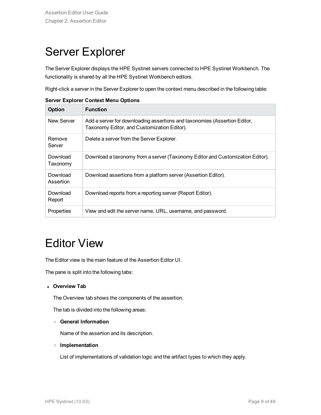#### <span id="page-8-0"></span>Server Explorer

The Server Explorer displays the HPE Systinet servers connected to HPE Systinet Workbench. The functionality is shared by all the HPE Systinet Workbench editors.

Right-click a server in the Server Explorer to open the context menu described in the following table:

| Option                | <b>Function</b>                                                                                                          |
|-----------------------|--------------------------------------------------------------------------------------------------------------------------|
| New Server            | Add a server for downloading assertions and taxonomies (Assertion Editor,<br>Taxonomy Editor, and Customization Editor). |
| Remove<br>Server      | Delete a server from the Server Explorer.                                                                                |
| Download<br>Taxonomy  | Download a taxonomy from a server (Taxonomy Editor and Customization Editor).                                            |
| Download<br>Assertion | Download assertions from a platform server (Assertion Editor).                                                           |
| Download<br>Report    | Download reports from a reporting server (Report Editor).                                                                |
| <b>Properties</b>     | View and edit the server name, URL, username, and password.                                                              |

**Server Explorer Context Menu Options**

### <span id="page-8-1"></span>Editor View

The Editor view is the main feature of the Assertion Editor UI.

The pane is split into the following tabs:

<sup>l</sup> **Overview Tab**

The Overview tab shows the components of the assertion.

The tab is divided into the following areas:

<sup>o</sup> **General Information**

Name of the assertion and its description.

<sup>o</sup> **Implementation**

List of implementations of validation logic and the artifact types to which they apply.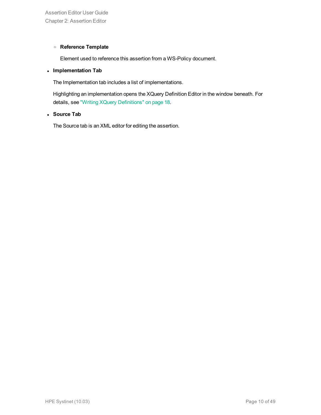#### <sup>o</sup> **Reference Template**

Element used to reference this assertion from a WS-Policy document.

#### <sup>l</sup> **Implementation Tab**

The Implementation tab includes a list of implementations.

Highlighting an implementation opens the XQuery Definition Editor in the window beneath. For details, see "Writing XQuery [Definitions"](#page-17-0) on page 18.

#### <sup>l</sup> **Source Tab**

The Source tab is an XML editor for editing the assertion.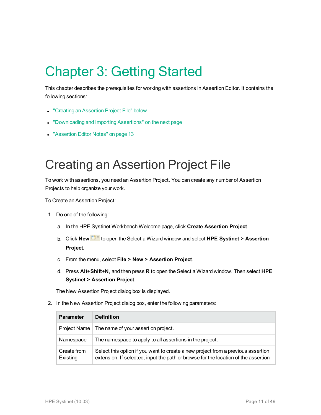## <span id="page-10-0"></span>Chapter 3: Getting Started

This chapter describes the prerequisites for working with assertions in Assertion Editor. It contains the following sections:

- "Creating an [Assertion](#page-10-1) Project File" below
- ["Downloading](#page-11-0) and Importing Assertions" on the next page
- <span id="page-10-1"></span>• ["Assertion](#page-12-0) Editor Notes" on page 13

### Creating an Assertion Project File

To work with assertions, you need an Assertion Project. You can create any number of Assertion Projects to help organize your work.

To Create an Assertion Project:

- 1. Do one of the following:
	- a. In the HPE Systinet Workbench Welcome page, click **Create Assertion Project**.
	- b. Click New  $\frac{c^2}{2}$  to open the Select a Wizard window and select HPE Systinet > Assertion **Project**.
	- c. From the menu, select **File > New > Assertion Project**.
	- d. Press **Alt+Shift+N**, and then press **R** to open the Select a Wizard window. Then select **HPE Systinet > Assertion Project**.

The New Assertion Project dialog box is displayed.

2. In the New Assertion Project dialog box, enter the following parameters:

| <b>Parameter</b>        | <b>Definition</b>                                                                                                                                                      |
|-------------------------|------------------------------------------------------------------------------------------------------------------------------------------------------------------------|
| Project Name            | The name of your assertion project.                                                                                                                                    |
| Namespace               | The namespace to apply to all assertions in the project.                                                                                                               |
| Create from<br>Existing | Select this option if you want to create a new project from a previous assertion<br>extension. If selected, input the path or browse for the location of the assertion |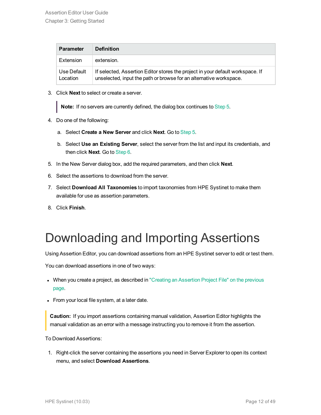| <b>Parameter</b>        | <b>Definition</b>                                                                                                                                    |
|-------------------------|------------------------------------------------------------------------------------------------------------------------------------------------------|
| Extension               | extension.                                                                                                                                           |
| Use Default<br>Location | If selected, Assertion Editor stores the project in your default workspace. If<br>unselected, input the path or browse for an alternative workspace. |

3. Click **Next** to select or create a server.

**Note:** If no servers are currently defined, the dialog box continues to [Step](#page-11-1) 5.

- 4. Do one of the following:
	- a. Select **Create a New Server** and click **Next**. Go to [Step](#page-11-1) 5.
	- b. Select **Use an Existing Server**, select the server from the list and input its credentials, and then click **Next**. Go to [Step](#page-11-2) 6.
- <span id="page-11-2"></span><span id="page-11-1"></span>5. In the New Server dialog box, add the required parameters, and then click **Next**.
- 6. Select the assertions to download from the server.
- 7. Select **Download All Taxonomies** to import taxonomies from HPE Systinet to make them available for use as assertion parameters.
- <span id="page-11-0"></span>8. Click **Finish**.

#### Downloading and Importing Assertions

Using Assertion Editor, you can download assertions from an HPE Systinet server to edit or test them.

You can download assertions in one of two ways:

- When you create a project, as described in "Creating an [Assertion](#page-10-1) Project File" on the previous [page](#page-10-1).
- From your local file system, at a later date.

**Caution:** If you import assertions containing manual validation, Assertion Editor highlights the manual validation as an error with a message instructing you to remove it from the assertion.

To Download Assertions:

1. Right-click the server containing the assertions you need in Server Explorer to open its context menu, and select **Download Assertions**.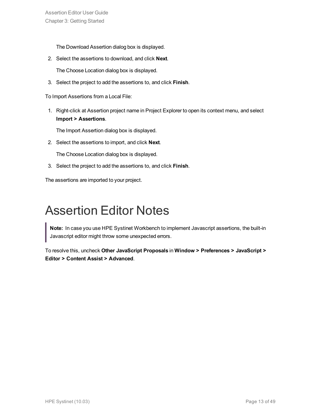The Download Assertion dialog box is displayed.

2. Select the assertions to download, and click **Next**.

The Choose Location dialog box is displayed.

3. Select the project to add the assertions to, and click **Finish**.

To Import Assertions from a Local File:

1. Right-click at Assertion project name in Project Explorer to open its context menu, and select **Import > Assertions**.

The Import Assertion dialog box is displayed.

2. Select the assertions to import, and click **Next**.

The Choose Location dialog box is displayed.

3. Select the project to add the assertions to, and click **Finish**.

<span id="page-12-0"></span>The assertions are imported to your project.

### Assertion Editor Notes

**Note:** In case you use HPE Systinet Workbench to implement Javascript assertions, the built-in Javascript editor might throw some unexpected errors.

To resolve this, uncheck **Other JavaScript Proposals** in **Window > Preferences > JavaScript > Editor > Content Assist > Advanced**.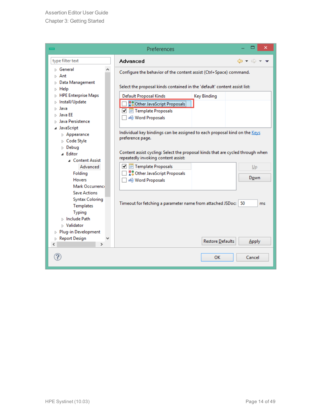| ᆖ                                                                                                  | Preferences                                                                                                           |                  | ▭<br>×       |
|----------------------------------------------------------------------------------------------------|-----------------------------------------------------------------------------------------------------------------------|------------------|--------------|
| type filter text                                                                                   | <b>Advanced</b>                                                                                                       |                  | க ⊷ ⊷        |
| ⊳ General<br>Ant                                                                                   | Configure the behavior of the content assist (Ctrl+Space) command.                                                    |                  |              |
| Data Management<br>Help<br>Þ                                                                       | Select the proposal kinds contained in the 'default' content assist list:                                             |                  |              |
| <b>HPE Enterprise Maps</b>                                                                         | <b>Default Proposal Kinds</b>                                                                                         | Key Binding      |              |
| Install/Update<br>Þ<br>Java                                                                        | A @ Other JavaScript Proposals                                                                                        |                  |              |
| Java FF                                                                                            | $\boxed{\blacktriangledown}$ $\boxed{\equiv}$ Template Proposals                                                      |                  |              |
| Java Persistence                                                                                   | able Word Proposals                                                                                                   |                  |              |
| JavaScript<br>$\triangleright$ Appearance<br>$\triangleright$ Code Style                           | Individual key bindings can be assigned to each proposal kind on the Keys<br>preference page.                         |                  |              |
| $\triangleright$ Debug                                                                             |                                                                                                                       |                  |              |
| <b>A</b> Editor                                                                                    | Content assist cycling: Select the proposal kinds that are cycled through when<br>repeatedly invoking content assist: |                  |              |
| <b>Content Assist</b><br>Advanced                                                                  | $\equiv$ Template Proposals<br>▿                                                                                      |                  | $U_{\rm p}$  |
| Folding                                                                                            | ■© Other JavaScript Proposals                                                                                         |                  |              |
| <b>Hovers</b>                                                                                      | able Word Proposals                                                                                                   |                  | Down         |
| Mark Occurrenci                                                                                    |                                                                                                                       |                  |              |
| <b>Save Actions</b><br><b>Syntax Coloring</b><br>Templates<br><b>Typing</b><br><b>Include Path</b> | Timeout for fetching a parameter name from attached JSDoc: 50                                                         |                  | ms           |
| $\triangleright$ Validator                                                                         |                                                                                                                       |                  |              |
| Plug-in Development<br><b>Report Design</b>                                                        |                                                                                                                       |                  |              |
| ∢<br>≯                                                                                             |                                                                                                                       | Restore Defaults | <b>Apply</b> |
|                                                                                                    |                                                                                                                       | OK               | Cancel       |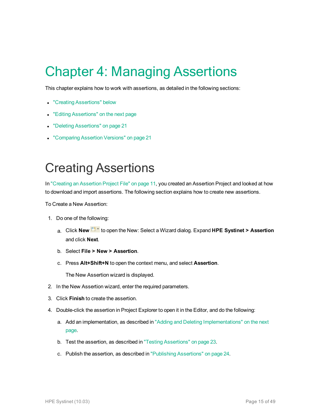## <span id="page-14-0"></span>Chapter 4: Managing Assertions

This chapter explains how to work with assertions, as detailed in the following sections:

- "Creating [Assertions"](#page-14-1) below
- "Editing [Assertions"](#page-15-0) on the next page
- "Deleting [Assertions"](#page-20-0) on page 21
- <span id="page-14-1"></span>• ["Comparing](#page-20-1) Assertion Versions" on page 21

#### Creating Assertions

In "Creating an [Assertion](#page-10-1) Project File" on page 11, you created an Assertion Project and looked at how to download and import assertions. The following section explains how to create new assertions.

To Create a New Assertion:

- 1. Do one of the following:
	- a. Click New  $\mathbb{C}^*$  to open the New: Select a Wizard dialog. Expand HPE Systinet > Assertion and click **Next**.
	- b. Select **File > New > Assertion**.
	- c. Press **Alt+Shift+N** to open the context menu, and select **Assertion**.

The New Assertion wizard is displayed.

- 2. In the New Assertion wizard, enter the required parameters.
- 3. Click **Finish** to create the assertion.
- 4. Double-click the assertion in Project Explorer to open it in the Editor, and do the following:
	- a. Add an implementation, as described in "Adding and Deleting [Implementations"](#page-15-2) on the next [page](#page-15-2).
	- b. Test the assertion, as described in "Testing [Assertions"](#page-22-1) on page 23.
	- c. Publish the assertion, as described in "Publishing [Assertions"](#page-23-1) on page 24.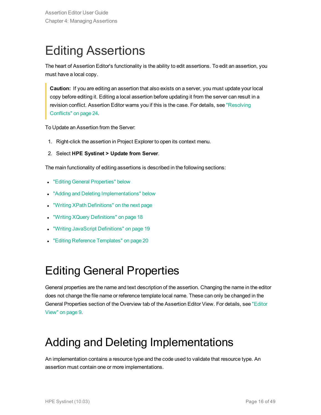### <span id="page-15-0"></span>Editing Assertions

The heart of Assertion Editor's functionality is the ability to edit assertions. To edit an assertion, you must have a local copy.

**Caution:** If you are editing an assertion that also exists on a server, you must update your local copy before editing it. Editing a local assertion before updating it from the server can result in a revision conflict. Assertion Editor warns you if this is the case. For details, see ["Resolving](#page-23-0) [Conflicts"](#page-23-0) on page 24.

To Update an Assertion from the Server:

- 1. Right-click the assertion in Project Explorer to open its context menu.
- 2. Select **HPE Systinet > Update from Server**.

The main functionality of editing assertions is described in the following sections:

- "Editing General [Properties"](#page-15-1) below
- <sup>l</sup> "Adding and Deleting [Implementations"](#page-15-2) below
- "Writing XPath [Definitions"](#page-16-0) on the next page
- **"Writing XQuery [Definitions"](#page-17-0) on page 18**
- **"Writing JavaScript [Definitions"](#page-18-0) on page 19**
- <span id="page-15-1"></span>• "Editing Reference [Templates"](#page-19-0) on page 20

#### Editing General Properties

General properties are the name and text description of the assertion. Changing the name in the editor does not change the file name or reference template local name. These can only be changed in the General Properties section of the Overview tab of the Assertion Editor View. For details, see ["Editor](#page-8-1) [View"](#page-8-1) on page 9.

#### <span id="page-15-2"></span>Adding and Deleting Implementations

An implementation contains a resource type and the code used to validate that resource type. An assertion must contain one or more implementations.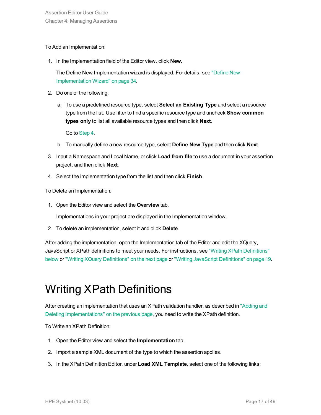#### To Add an Implementation:

1. In the Implementation field of the Editor view, click **New**.

The Define New Implementation wizard is displayed. For details, see ["Define](#page-33-1) New [Implementation](#page-33-1) Wizard" on page 34.

- 2. Do one of the following:
	- a. To use a predefined resource type, select **Select an Existing Type** and select a resource type from the list. Use filter to find a specific resource type and uncheck **Show common types only** to list all available resource types and then click **Next**.

Go to [Step](#page-16-1) 4.

- b. To manually define a new resource type, select **Define New Type** and then click **Next**.
- 3. Input a Namespace and Local Name, or click **Load from file** to use a document in your assertion project, and then click **Next**.
- <span id="page-16-1"></span>4. Select the implementation type from the list and then click **Finish**.

To Delete an Implementation:

1. Open the Editor view and select the **Overview** tab.

Implementations in your project are displayed in the Implementation window.

2. To delete an implementation, select it and click **Delete**.

After adding the implementation, open the Implementation tab of the Editor and edit the XQuery, JavaScript or XPath definitions to meet your needs. For instructions, see "Writing XPath [Definitions"](#page-16-0) [below](#page-16-0) or "Writing XQuery [Definitions"](#page-17-0) on the next page or "Writing JavaScript [Definitions"](#page-18-0) on page 19.

#### <span id="page-16-0"></span>Writing XPath Definitions

After creating an implementation that uses an XPath validation handler, as described in ["Adding](#page-15-2) and Deleting [Implementations"](#page-15-2) on the previous page, you need to write the XPath definition.

To Write an XPath Definition:

- 1. Open the Editor view and select the **Implementation** tab.
- 2. Import a sample XML document of the type to which the assertion applies.
- 3. In the XPath Definition Editor, under **Load XML Template**, select one of the following links: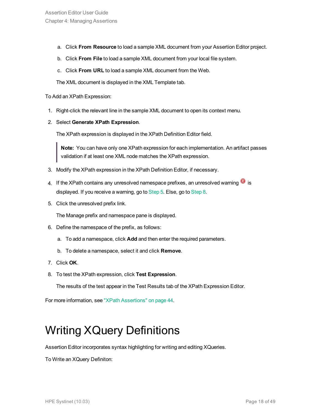- a. Click **From Resource** to load a sample XML document from your Assertion Editor project.
- b. Click **From File** to load a sample XML document from your local file system.
- c. Click **From URL** to load a sample XML document from the Web.

The XML document is displayed in the XML Template tab.

To Add an XPath Expression:

- 1. Right-click the relevant line in the sample XML document to open its context menu.
- 2. Select **Generate XPath Expression**.

The XPath expression is displayed in the XPath Definition Editor field.

**Note:** You can have only one XPath expression for each implementation. An artifact passes validation if at least one XML node matches the XPath expression.

- 3. Modify the XPath expression in the XPath Definition Editor, if necessary.
- 4. If the XPath contains any unresolved namespace prefixes, an unresolved warning is displayed. If you receive a warning, go to [Step](#page-17-1) 5. Else, go to [Step](#page-17-2) 8.
- <span id="page-17-1"></span>5. Click the unresolved prefix link.

The Manage prefix and namespace pane is displayed.

- 6. Define the namespace of the prefix, as follows:
	- a. To add a namespace, click **Add** and then enter the required parameters.
	- b. To delete a namespace, select it and click **Remove**.
- <span id="page-17-2"></span>7. Click **OK**.
- 8. To test the XPath expression, click **Test Expression**.

The results of the test appear in the Test Results tab of the XPath Expression Editor.

<span id="page-17-0"></span>For more information, see "XPath [Assertions"](#page-43-0) on page 44.

#### Writing XQuery Definitions

Assertion Editor incorporates syntax highlighting for writing and editing XQueries.

To Write an XQuery Definiton: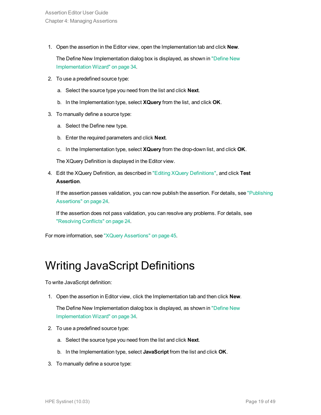1. Open the assertion in the Editor view, open the Implementation tab and click **New**.

The Define New Implementation dialog box is displayed, as shown in ["Define](#page-33-1) New [Implementation](#page-33-1) Wizard" on page 34.

- 2. To use a predefined source type:
	- a. Select the source type you need from the list and click **Next**.
	- b. In the Implementation type, select **XQuery** from the list, and click **OK**.
- 3. To manually define a source type:
	- a. Select the Define new type.
	- b. Enter the required parameters and click **Next**.
	- c. In the Implementation type, select **XQuery** from the drop-down list, and click **OK**.

The XQuery Definition is displayed in the Editor view.

4. Edit the XQuery Definition, as described in "Editing XQuery Definitions", and click **Test Assertion**.

If the assertion passes validation, you can now publish the assertion. For details, see ["Publishing](#page-23-1) [Assertions"](#page-23-1) on page 24.

If the assertion does not pass validation, you can resolve any problems. For details, see ["Resolving](#page-23-0) Conflicts" on page 24.

<span id="page-18-0"></span>For more information, see "XQuery [Assertions"](#page-44-0) on page 45.

#### Writing JavaScript Definitions

To write JavaScript definition:

1. Open the assertion in Editor view, click the Implementation tab and then click **New**.

The Define New Implementation dialog box is displayed, as shown in ["Define](#page-33-1) New [Implementation](#page-33-1) Wizard" on page 34.

- 2. To use a predefined source type:
	- a. Select the source type you need from the list and click **Next**.
	- b. In the Implementation type, select **JavaScript** from the list and click **OK**.
- 3. To manually define a source type: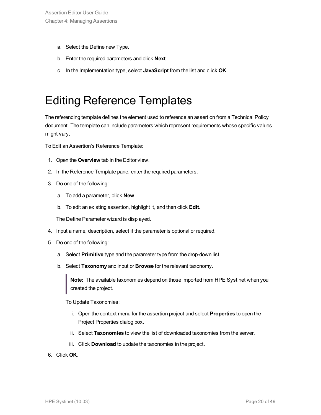- a. Select the Define new Type.
- b. Enter the required parameters and click **Next**.
- <span id="page-19-0"></span>c. In the Implementation type, select **JavaScript** from the list and click **OK**.

#### Editing Reference Templates

The referencing template defines the element used to reference an assertion from a Technical Policy document. The template can include parameters which represent requirements whose specific values might vary.

To Edit an Assertion's Reference Template:

- 1. Open the **Overview** tab in the Editor view.
- 2. In the Reference Template pane, enter the required parameters.
- 3. Do one of the following:
	- a. To add a parameter, click **New**.
	- b. To edit an existing assertion, highlight it, and then click **Edit**.

The Define Parameter wizard is displayed.

- 4. Input a name, description, select if the parameter is optional or required.
- 5. Do one of the following:
	- a. Select **Primitive** type and the parameter type from the drop-down list.
	- b. Select **Taxonomy** and input or **Browse** for the relevant taxonomy.

**Note:** The available taxonomies depend on those imported from HPE Systinet when you created the project.

To Update Taxonomies:

- i. Open the context menu for the assertion project and select **Properties** to open the Project Properties dialog box.
- ii. Select **Taxonomies** to view the list of downloaded taxonomies from the server.
- iii. Click **Download** to update the taxonomies in the project.
- 6. Click **OK**.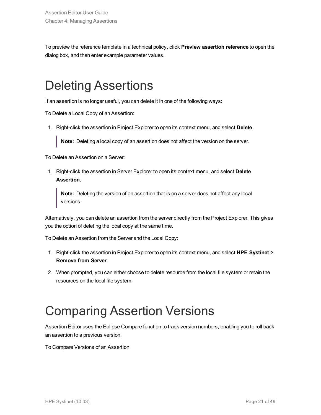To preview the reference template in a technical policy, click **Preview assertion reference** to open the dialog box, and then enter example parameter values.

### <span id="page-20-0"></span>Deleting Assertions

If an assertion is no longer useful, you can delete it in one of the following ways:

To Delete a Local Copy of an Assertion:

1. Right-click the assertion in Project Explorer to open its context menu, and select **Delete**.

**Note:** Deleting a local copy of an assertion does not affect the version on the server.

To Delete an Assertion on a Server:

1. Right-click the assertion in Server Explorer to open its context menu, and select **Delete Assertion**.

**Note:** Deleting the version of an assertion that is on a server does not affect any local versions.

Alternatively, you can delete an assertion from the server directly from the Project Explorer. This gives you the option of deleting the local copy at the same time.

To Delete an Assertion from the Server and the Local Copy:

- 1. Right-click the assertion in Project Explorer to open its context menu, and select **HPE Systinet > Remove from Server**.
- 2. When prompted, you can either choose to delete resource from the local file system or retain the resources on the local file system.

### <span id="page-20-1"></span>Comparing Assertion Versions

Assertion Editor uses the Eclipse Compare function to track version numbers, enabling you to roll back an assertion to a previous version.

To Compare Versions of an Assertion: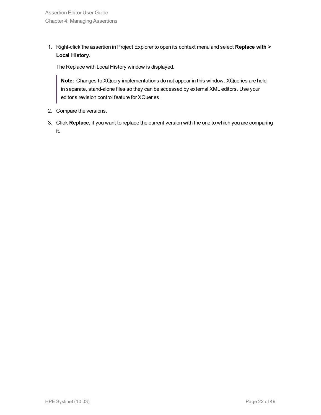1. Right-click the assertion in Project Explorer to open its context menu and select **Replace with > Local History**.

The Replace with Local History window is displayed.

**Note:** Changes to XQuery implementations do not appear in this window. XQueries are held in separate, stand-alone files so they can be accessed by external XML editors. Use your editor's revision control feature for XQueries.

- 2. Compare the versions.
- 3. Click **Replace**, if you want to replace the current version with the one to which you are comparing it.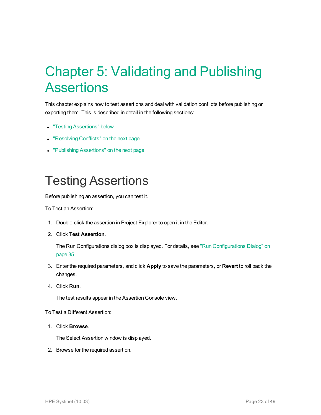## <span id="page-22-0"></span>Chapter 5: Validating and Publishing **Assertions**

This chapter explains how to test assertions and deal with validation conflicts before publishing or exporting them. This is described in detail in the following sections:

- "Testing [Assertions"](#page-22-1) below
- ["Resolving](#page-23-0) Conflicts" on the next page
- <span id="page-22-1"></span>• "Publishing [Assertions"](#page-23-1) on the next page

#### Testing Assertions

Before publishing an assertion, you can test it.

To Test an Assertion:

- 1. Double-click the assertion in Project Explorer to open it in the Editor.
- 2. Click **Test Assertion**.

The Run Configurations dialog box is displayed. For details, see "Run [Configurations](#page-34-0) Dialog" on [page](#page-34-0) 35.

- 3. Enter the required parameters, and click **Apply** to save the parameters, or **Revert** to roll back the changes.
- 4. Click **Run**.

The test results appear in the Assertion Console view.

#### To Test a Different Assertion:

1. Click **Browse**.

The Select Assertion window is displayed.

2. Browse for the required assertion.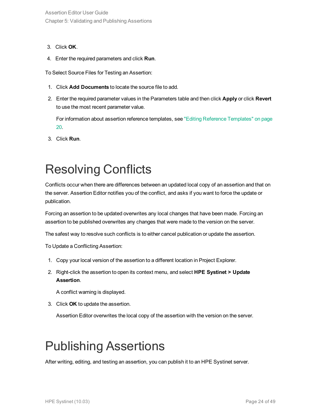- 3. Click **OK**.
- 4. Enter the required parameters and click **Run**.

To Select Source Files for Testing an Assertion:

- 1. Click **Add Documents** to locate the source file to add.
- 2. Enter the required parameter values in the Parameters table and then click **Apply** or click **Revert** to use the most recent parameter value.

For information about assertion reference templates, see "Editing Reference [Templates"](#page-19-0) on page [20.](#page-19-0)

<span id="page-23-0"></span>3. Click **Run**.

### Resolving Conflicts

Conflicts occur when there are differences between an updated local copy of an assertion and that on the server. Assertion Editor notifies you of the conflict, and asks if you want to force the update or publication.

Forcing an assertion to be updated overwrites any local changes that have been made. Forcing an assertion to be published overwrites any changes that were made to the version on the server.

The safest way to resolve such conflicts is to either cancel publication or update the assertion.

To Update a Conflicting Assertion:

- 1. Copy your local version of the assertion to a different location in Project Explorer.
- 2. Right-click the assertion to open its context menu, and select **HPE Systinet > Update Assertion**.

A conflict warning is displayed.

3. Click **OK** to update the assertion.

Assertion Editor overwrites the local copy of the assertion with the version on the server.

### <span id="page-23-1"></span>Publishing Assertions

After writing, editing, and testing an assertion, you can publish it to an HPE Systinet server.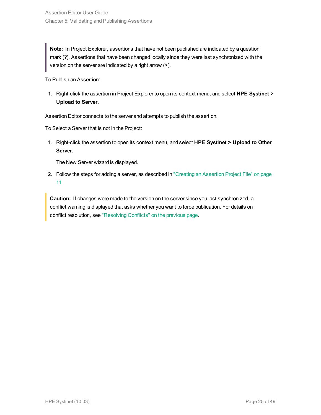**Note:** In Project Explorer, assertions that have not been published are indicated by a question mark (?). Assertions that have been changed locally since they were last synchronized with the version on the server are indicated by a right arrow (>).

To Publish an Assertion:

1. Right-click the assertion in Project Explorer to open its context menu, and select **HPE Systinet > Upload to Server**.

Assertion Editor connects to the server and attempts to publish the assertion.

To Select a Server that is not in the Project:

1. Right-click the assertion to open its context menu, and select **HPE Systinet > Upload to Other Server**.

The New Server wizard is displayed.

2. Follow the steps for adding a server, as described in "Creating an [Assertion](#page-10-1) Project File" on page [11.](#page-10-1)

**Caution:** If changes were made to the version on the server since you last synchronized, a conflict warning is displayed that asks whether you want to force publication. For details on conflict resolution, see ["Resolving](#page-23-0) Conflicts" on the previous page.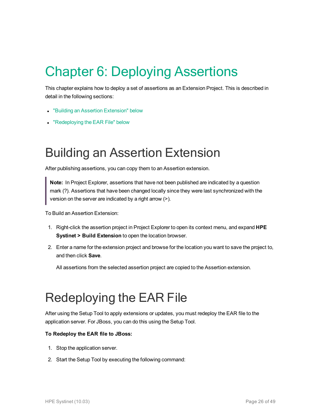## <span id="page-25-0"></span>Chapter 6: Deploying Assertions

This chapter explains how to deploy a set of assertions as an Extension Project. This is described in detail in the following sections:

- **.** "Building an Assertion [Extension"](#page-25-1) below
- <span id="page-25-1"></span>• ["Redeploying](#page-25-2) the EAR File" below

#### Building an Assertion Extension

After publishing assertions, you can copy them to an Assertion extension.

**Note:** In Project Explorer, assertions that have not been published are indicated by a question mark (?). Assertions that have been changed locally since they were last synchronized with the version on the server are indicated by a right arrow (>).

To Build an Assertion Extension:

- 1. Right-click the assertion project in Project Explorer to open its context menu, and expand **HPE Systinet > Build Extension** to open the location browser.
- 2. Enter a name for the extension project and browse for the location you want to save the project to, and then click **Save**.

All assertions from the selected assertion project are copied to the Assertion extension.

### <span id="page-25-2"></span>Redeploying the EAR File

After using the Setup Tool to apply extensions or updates, you must redeploy the EAR file to the application server. For JBoss, you can do this using the Setup Tool.

#### **To Redeploy the EAR file to JBoss:**

- 1. Stop the application server.
- 2. Start the Setup Tool by executing the following command: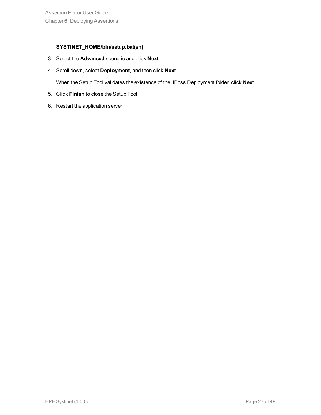#### **SYSTINET\_HOME/bin/setup.bat(sh)**

- 3. Select the **Advanced** scenario and click **Next**.
- 4. Scroll down, select **Deployment**, and then click **Next**.

When the Setup Tool validates the existence of the JBoss Deployment folder, click **Next**.

- 5. Click **Finish** to close the Setup Tool.
- 6. Restart the application server.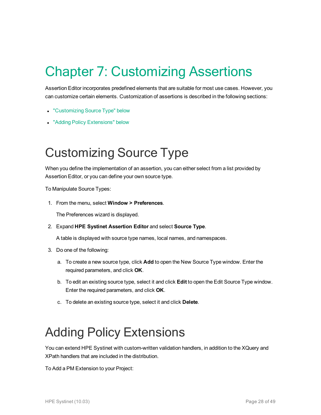## <span id="page-27-0"></span>Chapter 7: Customizing Assertions

Assertion Editor incorporates predefined elements that are suitable for most use cases. However, you can customize certain elements. Customization of assertions is described in the following sections:

- ["Customizing](#page-27-1) Source Type" below
- <span id="page-27-1"></span>• "Adding Policy [Extensions"](#page-27-2) below

### Customizing Source Type

When you define the implementation of an assertion, you can either select from a list provided by Assertion Editor, or you can define your own source type.

To Manipulate Source Types:

1. From the menu, select **Window > Preferences**.

The Preferences wizard is displayed.

2. Expand **HPE Systinet Assertion Editor** and select **Source Type**.

A table is displayed with source type names, local names, and namespaces.

- 3. Do one of the following:
	- a. To create a new source type, click **Add** to open the New Source Type window. Enter the required parameters, and click **OK**.
	- b. To edit an existing source type, select it and click **Edit** to open the Edit Source Type window. Enter the required parameters, and click **OK**.
	- c. To delete an existing source type, select it and click **Delete**.

### <span id="page-27-2"></span>Adding Policy Extensions

You can extend HPE Systinet with custom-written validation handlers, in addition to the XQuery and XPath handlers that are included in the distribution.

To Add a PM Extension to your Project: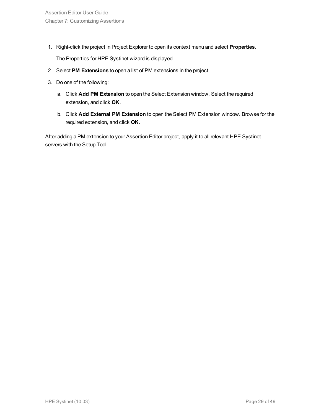1. Right-click the project in Project Explorer to open its context menu and select **Properties**.

The Properties for HPE Systinet wizard is displayed.

- 2. Select **PM Extensions** to open a list of PM extensions in the project.
- 3. Do one of the following:
	- a. Click **Add PM Extension** to open the Select Extension window. Select the required extension, and click **OK**.
	- b. Click **Add External PM Extension** to open the Select PM Extension window. Browse for the required extension, and click **OK**.

After adding a PM extension to your Assertion Editor project, apply it to all relevant HPE Systinet servers with the Setup Tool.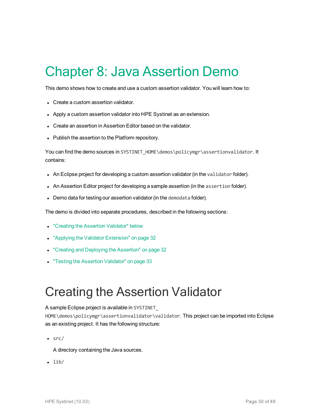### <span id="page-29-0"></span>Chapter 8: Java Assertion Demo

This demo shows how to create and use a custom assertion validator. You will learn how to:

- Create a custom assertion validator.
- Apply a custom assertion validator into HPE Systinet as an extension.
- Create an assertion in Assertion Editor based on the validator.
- Publish the assertion to the Platform repository.

You can find the demo sources in SYSTINET\_HOME\demos\policymgr\assertionvalidator. It contains:

- An Eclipse project for developing a custom assertion validator (in the validator folder).
- An Assertion Editor project for developing a sample assertion (in the assertion folder).
- Demo data for testing our assertion validator (in the demodata folder).

The demo is divided into separate procedures, described in the following sections:

- "Creating the Assertion [Validator"](#page-29-1) below
- "Applying the Validator [Extension"](#page-31-0) on page 32
- "Creating and Deploying the [Assertion"](#page-31-1) on page 32
- <span id="page-29-1"></span>**"Testing the Assertion [Validator"](#page-32-0) on page 33**

#### Creating the Assertion Validator

A sample Eclipse project is available in SYSTINET\_

HOME\demos\policymgr\assertionvalidator\validator. This project can be imported into Eclipse as an existing project. It has the following structure:

 $\cdot$  src/

A directory containing the Java sources.

 $\bullet$  lib/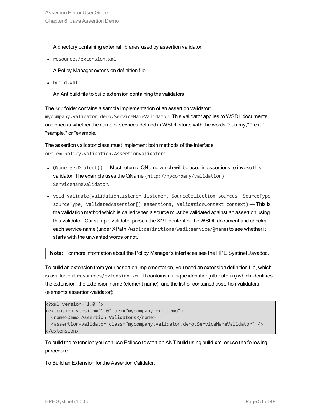A directory containing external libraries used by assertion validator.

• resources/extension.xml

A Policy Manager extension definition file.

• build.xml

An Ant build file to build extension containing the validators.

The src folder contains a sample implementation of an assertion validator: mycompany.validator.demo.ServiceNameValidator. This validator applies to WSDL documents and checks whether the name of services defined in WSDL starts with the words "dummy," "test," "sample," or "example."

The assertion validator class must implement both methods of the interface org.em.policy.validation.AssertionValidator:

- QName  $getDialect()$  Must return a QName which will be used in assertions to invoke this validator. The example uses the QName {http://mycompany/validation} ServiceNameValidator.
- void validate(ValidationListener listener, SourceCollection sources, SourceType sourceType, ValidatedAssertion[] assertions, ValidationContext context) — This is the validation method which is called when a source must be validated against an assertion using this validator. Our sample validator parses the XML content of the WSDL document and checks each service name (under XPath /wsdl:definitions/wsdl:service/@name) to see whether it starts with the unwanted words or not.

**Note:** For more information about the Policy Manager's interfaces see the HPE Systinet Javadoc.

To build an extension from your assertion implementation, you need an extension definition file, which is available at resources/extension.xml. It contains a unique identifier (attribute uri) which identifies the extension, the extension name (element name), and the list of contained assertion validators (elements assertion-validator):

```
<?xml version="1.0"?>
<extension version="1.0" uri="mycompany.ext.demo">
 <name>Demo Assertion Validators</name>
 <assertion-validator class="mycompany.validator.demo.ServiceNameValidator" />
</extension>
```
To build the extension you can use Eclipse to start an ANT build using build.xml or use the following procedure:

To Build an Extension for the Assertion Validator: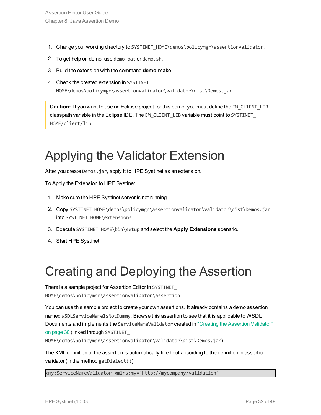- 1. Change your working directory to SYSTINET\_HOME\demos\policymgr\assertionvalidator.
- 2. To get help on demo, use demo.bat or demo.sh.
- 3. Build the extension with the command **demo make**.
- 4. Check the created extension in SYSTINET HOME\demos\policymgr\assertionvalidator\validator\dist\Demos.jar.

**Caution:** If you want to use an Eclipse project for this demo, you must define the EM\_CLIENT\_LIB classpath variable in the Eclipse IDE. The EM\_CLIENT\_LIB variable must point to SYSTINET\_ HOME/client/lib.

### <span id="page-31-0"></span>Applying the Validator Extension

After you create Demos.jar, apply it to HPE Systinet as an extension.

To Apply the Extension to HPE Systinet:

- 1. Make sure the HPE Systinet server is not running.
- 2. Copy SYSTINET HOME\demos\policymgr\assertionvalidator\validator\dist\Demos.jar into SYSTINET\_HOME\extensions.
- 3. Execute SYSTINET\_HOME\bin\setup and select the **Apply Extensions** scenario.
- <span id="page-31-1"></span>4. Start HPE Systinet.

### Creating and Deploying the Assertion

There is a sample project for Assertion Editor in SYSTINET\_ HOME\demos\policymgr\assertionvalidaton\assertion.

You can use this sample project to create your own assertions. It already contains a demo assertion named WSDLServiceNameIsNotDummy. Browse this assertion to see that it is applicable to WSDL Documents and implements the ServiceNameValidator created in "Creating the [Assertion](#page-29-1) Validator" on [page](#page-29-1) 30 (linked through SYSTINET

HOME\demos\policymgr\assertionvalidator\validator\dist\Demos.jar).

The XML definition of the assertion is automatically filled out according to the definition in assertion validator (in the method getDialect()):

<my:ServiceNameValidator xmlns:my="http://mycompany/validation"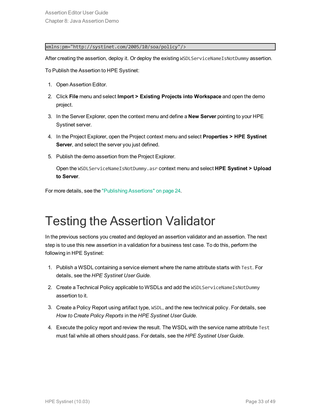#### xmlns:pm="http://systinet.com/2005/10/soa/policy"/>

After creating the assertion, deploy it. Or deploy the existing WSDLServiceNameIsNotDummy assertion.

To Publish the Assertion to HPE Systinet:

- 1. Open Assertion Editor.
- 2. Click **File** menu and select **Import > Existing Projects into Workspace** and open the demo project.
- 3. In the Server Explorer, open the context menu and define a **New Server** pointing to your HPE Systinet server.
- 4. In the Project Explorer, open the Project context menu and select **Properties > HPE Systinet Server**, and select the server you just defined.
- 5. Publish the demo assertion from the Project Explorer.

Open the WSDLServiceNameIsNotDummy.asr context menu and select **HPE Systinet > Upload to Server**.

<span id="page-32-0"></span>For more details, see the "Publishing [Assertions"](#page-23-1) on page 24.

#### Testing the Assertion Validator

In the previous sections you created and deployed an assertion validator and an assertion. The next step is to use this new assertion in a validation for a business test case. To do this, perform the following in HPE Systinet:

- 1. Publish a WSDL containing a service element where the name attribute starts with Test. For details, see the *HPE Systinet User Guide*.
- 2. Create a Technical Policy applicable to WSDLs and add the WSDLServiceNameIsNotDummy assertion to it.
- 3. Create a Policy Report using artifact type, WSDL, and the new technical policy. For details, see *How to Create Policy Reports* in the *HPE Systinet User Guide*.
- 4. Execute the policy report and review the result. The WSDL with the service name attribute Test must fail while all others should pass. For details, see the *HPE Systinet User Guide*.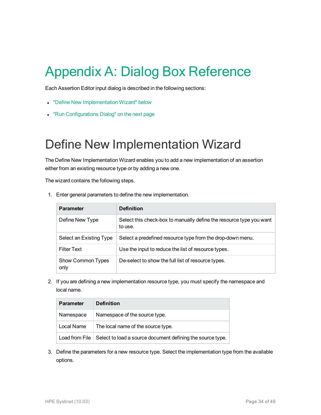## <span id="page-33-0"></span>Appendix A: Dialog Box Reference

Each Assertion Editor input dialog is described in the following sections:

- "Define New [Implementation](#page-33-1) Wizard" below
- <span id="page-33-1"></span>• "Run [Configurations](#page-34-0) Dialog" on the next page

#### Define New Implementation Wizard

The Define New Implementation Wizard enables you to add a new implementation of an assertion either from an existing resource type or by adding a new one.

The wizard contains the following steps.

| <b>Parameter</b>          | <b>Definition</b>                                                              |
|---------------------------|--------------------------------------------------------------------------------|
| Define New Type           | Select this check-box to manually define the resource type you want<br>to use. |
| Select an Existing Type   | Select a predefined resource type from the drop-down menu.                     |
| <b>Filter Text</b>        | Use the input to reduce the list of resource types.                            |
| Show Common Types<br>only | De-select to show the full list of resource types.                             |

1. Enter general parameters to define the new implementation.

2. If you are defining a new implementation resource type, you must specify the namespace and local name.

| <b>Parameter</b> | <b>Definition</b>                                                           |
|------------------|-----------------------------------------------------------------------------|
| Namespace        | Namespace of the source type.                                               |
| Local Name       | The local name of the source type.                                          |
|                  | Load from File   Select to load a source document defining the source type. |

3. Define the parameters for a new resource type. Select the implementation type from the available options.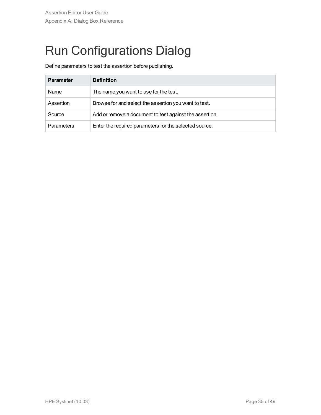## <span id="page-34-0"></span>Run Configurations Dialog

Define parameters to test the assertion before publishing.

| <b>Parameter</b>  | <b>Definition</b>                                       |
|-------------------|---------------------------------------------------------|
| Name              | The name you want to use for the test.                  |
| Assertion         | Browse for and select the assertion you want to test.   |
| Source            | Add or remove a document to test against the assertion. |
| <b>Parameters</b> | Enter the required parameters for the selected source.  |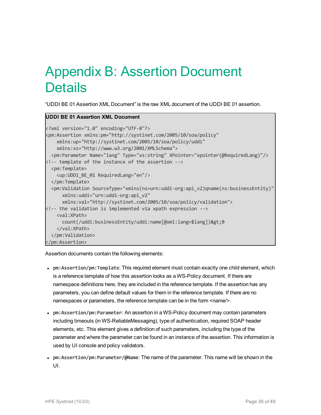## <span id="page-35-0"></span>Appendix B: Assertion Document **Details**

"UDDI BE 01 Assertion XML Document" is the raw XML document of the UDDI BE 01 assertion.

#### **UDDI BE 01 Assertion XML Document**

```
<?xml version="1.0" encoding="UTF-8"?>
<pm:Assertion xmlns:pm="http://systinet.com/2005/10/soa/policy"
   xmlns:up="http://systinet.com/2005/10/soa/policy/uddi"
   xmlns:xs="http://www.w3.org/2001/XMLSchema">
 <pm:Parameter Name="lang" Type="xs:string" XPointer="xpointer(@RequiredLang)"/>
<!-- template of the instance of the assertion -->
 <pm:Template>
   <up:UDDI_BE_01 RequiredLang="en"/>
 </pm:Template>
 <pm:Validation SourceType="xmlns(ns=urn:uddi-org:api_v2)qname(ns:businessEntity)"
     xmlns:uddi="urn:uddi-org:api_v2"
     xmlns:val="http://systinet.com/2005/10/soa/policy/validation">
<!-- the validation is implemented via xpath expression -->
   <val:XPath>
     count(/uddi:businessEntity/uddi:name[@xml:lang=$lang])>0
   </val:XPath>
 </pm:Validation>
</pm:Assertion>
```
Assertion documents contain the following elements:

- <sup>l</sup> **pm:Assertion/pm:Template**: This required element must contain exactly one child element, which is a reference template of how this assertion looks as a WS-Policy document. If there are namespace definitions here, they are included in the reference template. If the assertion has any parameters, you can define default values for them in the reference template. If there are no namespaces or parameters, the reference template can be in the form <name/>.
- <sup>l</sup> **pm:Assertion/pm:Parameter**: An assertion in a WS-Policy document may contain parameters including timeouts (in WS-ReliableMessaging), type of authentication, required SOAP header elements, etc. This element gives a definition of such parameters, including the type of the parameter and where the parameter can be found in an instance of the assertion. This information is used by UI console and policy validators.
- <sup>l</sup> **pm:Assertion/pm:Parameter/@Name**: The name of the parameter. This name will be shown in the UI.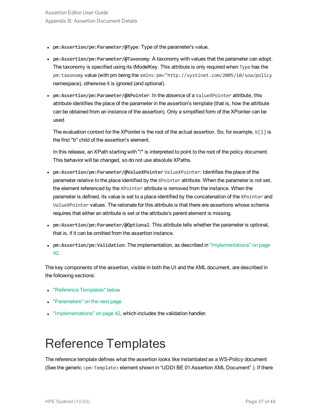- **pm: Assertion/pm: Parameter/@Type: Type of the parameter's value.**
- <sup>l</sup> **pm:Assertion/pm:Parameter/@Taxonomy**: A taxonomy with values that the parameter can adopt. The taxonomy is specified using its tModelKey. This attribute is only required when Type has the pm:taxonomy value (with pm being the xmlns:pm="http://systinet.com/2005/10/soa/policy namespace), otherwise it is ignored (and optional).
- <sup>l</sup> **pm:Assertion/pm:Parameter/@XPointer**: In the absence of a ValueXPointer attribute, this attribute identifies the place of the parameter in the assertion's template (that is, how the attribute can be obtained from an instance of the assertion). Only a simplified form of the XPointer can be used.

The evaluation context for the XPointer is the root of the actual assertion. So, for example,  $b[1]$  is the first "b" child of the assertion's element.

In this release, an XPath starting with "/" is interpreted to point to the root of the policy document. This behavior will be changed, so do not use absolute XPaths.

- <sup>l</sup> **pm:Assertion/pm:Parameter/@ValueXPointer** ValueXPointer: Identifies the place of the parameter *relative to* the place identified by the XPointer attribute. When the parameter is not set, the element referenced by the XPointer attribute is removed from the instance. When the parameter is defined, its value is set to a place identified by the concatenation of the XPointer and ValueXPointer values. The rationale for this attribute is that there are assertions whose schema requires that either an attribute is set or the attribute's parent element is missing.
- <sup>l</sup> **pm:Assertion/pm:Parameter/@Optional**: This attribute tells whether the parameter is optional, that is, if it can be omitted from the assertion instance.
- <sup>l</sup> **pm:Assertion/pm:Validation**: The implementation, as described in ["Implementations"](#page-41-0) on page [42.](#page-41-0)

The key components of the assertion, visible in both the UI and the XML document, are described in the following sections:

- "Reference [Templates"](#page-36-0) below
- ["Parameters"](#page-37-0) on the next page
- <span id="page-36-0"></span>. ["Implementations"](#page-41-0) on page 42, which includes the validation handler.

### Reference Templates

The reference template defines what the assertion looks like instantiated as a WS-Policy document (See the generic <pm:Template> element shown in "UDDI BE 01 Assertion XML Document".). If there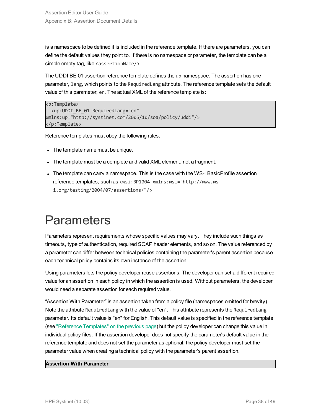is a namespace to be defined it is included in the reference template. If there are parameters, you can define the default values they point to. If there is no namespace or parameter, the template can be a simple empty tag, like <assertionName/>.

The UDDI BE 01 assertion reference template defines the up namespace. The assertion has one parameter, lang, which points to the RequiredLang attribute. The reference template sets the default value of this parameter, en. The actual XML of the reference template is:

```
<p:Template>
  <up:UDDI_BE_01 RequiredLang="en"
xmlns:up="http://systinet.com/2005/10/soa/policy/uddi"/>
</p:Template>
```
Reference templates must obey the following rules:

- The template name must be unique.
- The template must be a complete and valid XML element, not a fragment.
- The template can carry a namespace. This is the case with the WS-I BasicProfile assertion reference templates, such as <wsi:BP1004 xmlns:wsi="http://www.wsi.org/testing/2004/07/assertions/"/>

#### <span id="page-37-0"></span>**Parameters**

Parameters represent requirements whose specific values may vary. They include such things as timeouts, type of authentication, required SOAP header elements, and so on. The value referenced by a parameter can differ between technical policies containing the parameter's parent assertion because each technical policy contains its own instance of the assertion.

Using parameters lets the policy developer reuse assertions. The developer can set a different required value for an assertion in each policy in which the assertion is used. Without parameters, the developer would need a separate assertion for each required value.

"Assertion With Parameter" is an assertion taken from a policy file (namespaces omitted for brevity). Note the attribute RequiredLang with the value of "en". This attribute represents the RequiredLang parameter. Its default value is "en" for English. This default value is specified in the reference template (see "Reference [Templates"](#page-36-0) on the previous page) but the policy developer can change this value in individual policy files. If the assertion developer does not specify the parameter's default value in the reference template and does not set the parameter as optional, the policy developer must set the parameter value when creating a technical policy with the parameter's parent assertion.

#### **Assertion With Parameter**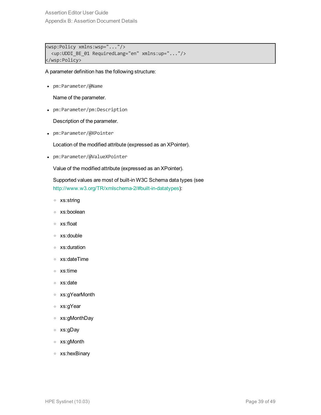Assertion Editor User Guide Appendix B: Assertion Document Details

<wsp:Policy xmlns:wsp="..."/> <up:UDDI\_BE\_01 RequiredLang="en" xmlns:up="..."/> </wsp:Policy>

A parameter definition has the following structure:

• pm:Parameter/@Name

Name of the parameter.

• pm:Parameter/pm:Description

Description of the parameter.

• pm:Parameter/@XPointer

Location of the modified attribute (expressed as an XPointer).

• pm:Parameter/@ValueXPointer

Value of the modified attribute (expressed as an XPointer).

Supported values are most of built-in W3C Schema data types (see [http://www.w3.org/TR/xmlschema-2/#built-in-datatypes](http://www.w3.org/TR/xmlschema-2#built-in-datatypes)):

- <sup>o</sup> xs:string
- <sup>o</sup> xs:boolean
- <sup>o</sup> xs:float
- <sup>o</sup> xs:double
- <sup>o</sup> xs:duration
- <sup>o</sup> xs:dateTime
- <sup>o</sup> xs:time
- <sup>o</sup> xs:date
- <sup>o</sup> xs:gYearMonth
- <sup>o</sup> xs:gYear
- <sup>o</sup> xs:gMonthDay
- <sup>o</sup> xs:gDay
- <sup>o</sup> xs:gMonth
- <sup>o</sup> xs:hexBinary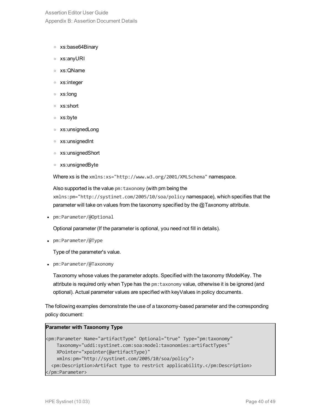Assertion Editor User Guide Appendix B: Assertion Document Details

- <sup>o</sup> xs:base64Binary
- <sup>o</sup> xs:anyURI
- <sup>o</sup> xs:QName
- <sup>o</sup> xs:integer
- <sup>o</sup> xs:long
- <sup>o</sup> xs:short
- <sup>o</sup> xs:byte
- <sup>o</sup> xs:unsignedLong
- <sup>o</sup> xs:unsignedInt
- <sup>o</sup> xs:unsignedShort
- <sup>o</sup> xs:unsignedByte

Where xs is the xmlns:xs="http://www.w3.org/2001/XMLSchema" namespace.

Also supported is the value pm:taxonomy (with pm being the xmlns:pm="http://systinet.com/2005/10/soa/policy namespace), which specifies that the parameter will take on values from the taxonomy specified by the @Taxonomy attribute.

• pm:Parameter/@Optional

Optional parameter (If the parameter is optional, you need not fill in details).

• pm:Parameter/@Type

Type of the parameter's value.

• pm:Parameter/@Taxonomy

Taxonomy whose values the parameter adopts. Specified with the taxonomy tModelKey. The attribute is required only when Type has the  $pm$ : taxonomy value, otherwise it is be ignored (and optional). Actual parameter values are specified with keyValues in policy documents.

The following examples demonstrate the use of a taxonomy-based parameter and the corresponding policy document:

#### **Parameter with Taxonomy Type**

```
<pm:Parameter Name="artifactType" Optional="true" Type="pm:taxonomy"
   Taxonomy="uddi:systinet.com:soa:model:taxonomies:artifactTypes"
   XPointer="xpointer(@artifactType)"
   xmlns:pm="http://systinet.com/2005/10/soa/policy">
  <pm:Description>Artifact type to restrict applicability.</pm:Description>
</pm:Parameter>
```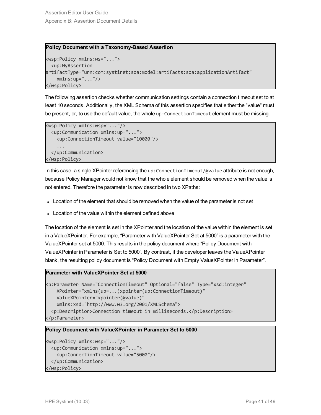#### **Policy Document with a Taxonomy-Based Assertion**

```
<wsp:Policy xmlns:ws="...">
  <up:MyAssertion
artifactType="urn:com:systinet:soa:model:artifacts:soa:applicationArtifact"
    xmlns:up="..."/>
</wsp:Policy>
```
The following assertion checks whether communication settings contain a connection timeout set to at least 10 seconds. Additionally, the XML Schema of this assertion specifies that either the "value" must be present, or, to use the default value, the whole up:ConnectionTimeout element must be missing.

```
<wsp:Policy xmlns:wsp="..."/>
 <up:Communication xmlns:up="...">
   <up:ConnectionTimeout value="10000"/>
    ...
 </up:Communication>
</wsp:Policy>
```
In this case, a single XPointer referencing the up:ConnectionTimeout/@value attribute is not enough, because Policy Manager would not know that the whole element should be removed when the value is not entered. Therefore the parameter is now described in two XPaths:

- Location of the element that should be removed when the value of the parameter is not set
- Location of the value within the element defined above

The location of the element is set in the XPointer and the location of the value within the element is set in a ValueXPointer. For example, "Parameter with ValueXPointer Set at 5000" is a parameter with the ValueXPointer set at 5000. This results in the policy document where "Policy Document with ValueXPointer in Parameter is Set to 5000". By contrast, if the developer leaves the ValueXPointer blank, the resulting policy document is "Policy Document with Empty ValueXPointer in Parameter".

#### **Parameter with ValueXPointer Set at 5000**

```
<p:Parameter Name="ConnectionTimeout" Optional="false" Type="xsd:integer"
    XPointer="xmlns(up=...)xpointer(up:ConnectionTimeout)"
    ValueXPointer="xpointer(@value)"
    xmlns:xsd="http://www.w3.org/2001/XMLSchema">
  <p:Description>Connection timeout in milliseconds.</p:Description>
</p:Parameter>
```
#### **Policy Document with ValueXPointer in Parameter Set to 5000**

```
<wsp:Policy xmlns:wsp="..."/>
 <up:Communication xmlns:up="...">
   <up:ConnectionTimeout value="5000"/>
 </up:Communication>
</wsp:Policy>
```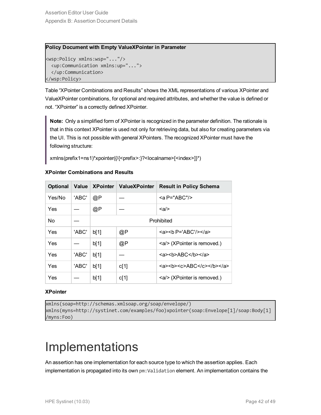#### **Policy Document with Empty ValueXPointer in Parameter**

```
<wsp:Policy xmlns:wsp="..."/>
  <up:Communication xmlns:up="...">
  </up:Communication>
</wsp:Policy>
```
Table "XPointer Combinations and Results" shows the XML representations of various XPointer and ValueXPointer combinations, for optional and required attributes, and whether the value is defined or not. "XPointer" is a correctly defined XPointer.

**Note:** Only a simplified form of XPointer is recognized in the parameter definition. The rationale is that in this context XPointer is used not only for retrieving data, but also for creating parameters via the UI. This is not possible with general XPointers. The recognized XPointer must have the following structure:

```
xmlns(prefix1=ns1)*xpointer({/{<prefix>:}?<localname>[<index>]}*)
```

| <b>Optional</b> | Value | <b>XPointer</b> | <b>ValueXPointer</b> | <b>Result in Policy Schema</b> |
|-----------------|-------|-----------------|----------------------|--------------------------------|
| Yes/No          | 'ABC' | @P              |                      | $<$ a P="ABC"/>                |
| Yes             |       | @P              |                      | <a></a>                        |
| No              |       | Prohibited      |                      |                                |
| Yes             | 'ABC' | b[1]            | @P                   | $<$ a><br>sherable P='ABC'/>   |
| Yes             |       | b[1]            | @P                   | <a></a> (XPointer is removed.) |
| Yes             | 'ABC' | b[1]            |                      | $2$<br>$ABC$                   |
| Yes             | 'ABC' | b[1]            | c[1]                 | <a>22</a>                      |
| Yes             |       | b[1]            | c[1]                 | <a></a> (XPointer is removed.) |

#### **XPointer Combinations and Results**

#### **XPointer**

```
xmlns(soap=http://schemas.xmlsoap.org/soap/envelope/)
xmlns(myns=http://systinet.com/examples/foo)xpointer(soap:Envelope[1]/soap:Body[1]
/myns:Foo)
```
### <span id="page-41-0"></span>**Implementations**

An assertion has one implementation for each source type to which the assertion applies. Each implementation is propagated into its own pm:Validation element. An implementation contains the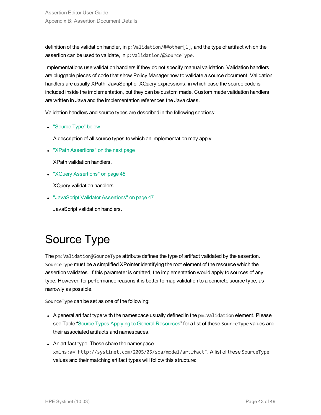Assertion Editor User Guide Appendix B: Assertion Document Details

definition of the validation handler, in p:Validation/##other[1], and the type of artifact which the assertion can be used to validate, in p:Validation/@SourceType.

Implementations use validation handlers if they do not specify manual validation. Validation handlers are pluggable pieces of code that show Policy Manager how to validate a source document. Validation handlers are usually XPath, JavaScript or XQuery expressions, in which case the source code is included inside the implementation, but they can be custom made. Custom made validation handlers are written in Java and the implementation references the Java class.

Validation handlers and source types are described in the following sections:

• ["Source](#page-42-0) Type" below

A description of all source types to which an implementation may apply.

• "XPath [Assertions"](#page-43-0) on the next page

XPath validation handlers.

• "XQuery [Assertions"](#page-44-0) on page 45

XQuery validation handlers.

**.** "JavaScript Validator [Assertions"](#page-46-0) on page 47

<span id="page-42-0"></span>JavaScript validation handlers.

#### Source Type

The pm:Validation@SourceType attribute defines the type of artifact validated by the assertion. SourceType must be a simplified XPointer identifying the root element of the resource which the assertion validates. If this parameter is omitted, the implementation would apply to sources of any type. However, for performance reasons it is better to map validation to a concrete source type, as narrowly as possible.

SourceType can be set as one of the following:

- A general artifact type with the namespace usually defined in the pm: Validation element. Please see Table "Source Types Applying to General [Resources](#page-43-1)" for a list of these SourceType values and their associated artifacts and namespaces.
- An artifact type. These share the namespace xmlns:a="http://systinet.com/2005/05/soa/model/artifact". A list of these SourceType values and their matching artifact types will follow this structure: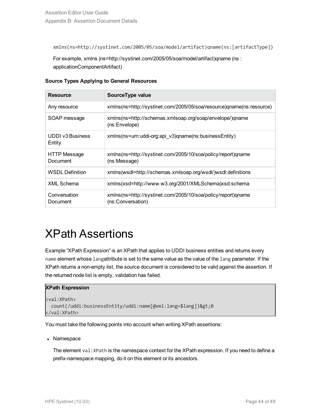xmlns(ns=http://systinet.com/2005/05/soa/model/artifact)qname(ns:[artifactType])

For example, xmlns (ns=http://systinet.com/2005/05/soa/model/artifact)qname (ns : applicationComponentArtifact)

<span id="page-43-1"></span>

| <b>Source Types Applying to General Resources</b> |  |  |  |  |  |
|---------------------------------------------------|--|--|--|--|--|
|---------------------------------------------------|--|--|--|--|--|

| <b>Resource</b>                 | SourceType value                                                                  |
|---------------------------------|-----------------------------------------------------------------------------------|
| Any resource                    | xmlns(ns=http://systinet.com/2005/05/soa/resource)gname(ns:resource)              |
| SOAP message                    | xmlns(ns=http://schemas.xmlsoap.org/soap/envelope/)qname<br>(ns:Envelope)         |
| UDDI v3 Business<br>Entity      | xmlns(ns=um:uddi-org:api_v3)qname(ns:businessEntity)                              |
| <b>HTTP Message</b><br>Document | xmlns(ns=http://systinet.com/2005/10/soa/policy/report)qname<br>(ns:Message)      |
| <b>WSDL Definition</b>          | xmlns(wsdl=http://schemas.xmlsoap.org/wsdl/)wsdl:definitions                      |
| <b>XML Schema</b>               | xmlns(xsd=http://www.w3.org/2001/XMLSchema)xsd:schema                             |
| Conversation<br>Document        | xmlns(ns=http://systinet.com/2005/10/soa/policy/report)qname<br>(ns:Conversation) |

#### <span id="page-43-0"></span>XPath Assertions

Example "XPath Expression" is an XPath that applies to UDDI business entities and returns every name element whose langattribute is set to the same value as the value of the lang parameter. If the XPath returns a non-empty list, the source document is considered to be valid against the assertion. If the returned node list is empty, validation has failed.

#### **XPath Expression**

```
<val:XPath>
 count(/uddi:businessEntity/uddi:name[@xml:lang=$lang])>0
</val:XPath>
```
You must take the following points into account when writing XPath assertions:

#### • Namespace

The element val:XPath is the namespace context for the XPath expression. If you need to define a prefix-namespace mapping, do it on this element or its ancestors.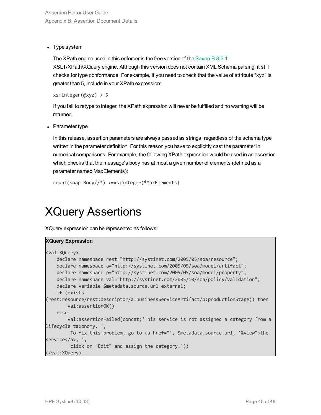$\cdot$  Type system

The XPath engine used in this enforcer is the free version of the [Saxon-B](http://www.saxonica.com/) 8.5.1 XSLT/XPath/XQuery engine. Although this version does not contain XML Schema parsing, it still checks for type conformance. For example, if you need to check that the value of attribute "xyz" is greater than 5, include in your XPath expression:

xs:integer(@xyz) > 5

If you fail to retype to integer, the XPath expression will never be fulfilled and no warning will be returned.

• Parameter type

In this release, assertion parameters are always passed as strings, regardless of the schema type written in the parameter definition. For this reason you have to explicitly cast the parameter in numerical comparisons. For example, the following XPath expression would be used in an assertion which checks that the message's body has at most a given number of elements (defined as a parameter named MaxElements):

```
count(soap:Body//*) <=xs:integer($MaxElements)
```
#### XQuery Assertions

XQuery expression can be represented as follows:

#### **XQuery Expression**

```
<val:XQuery>
   declare namespace rest="http://systinet.com/2005/05/soa/resource";
    declare namespace a="http://systinet.com/2005/05/soa/model/artifact";
    declare namespace p="http://systinet.com/2005/05/soa/model/property";
    declare namespace val="http://systinet.com/2005/10/soa/policy/validation";
    declare variable $metadata.source.url external;
    if (exists
(rest:resource/rest:descriptor/a:businessServiceArtifact/p:productionStage)) then
        val:assertionOK()
    else
        val:assertionFailed(concat('This service is not assigned a category from a
lifecycle taxonomy. ',
        'To fix this problem, go to <a href="', $metadata.source.url, '&view">the
service</a>, ',
        'click on "Edit" and assign the category.'))
</val:XQuery>
```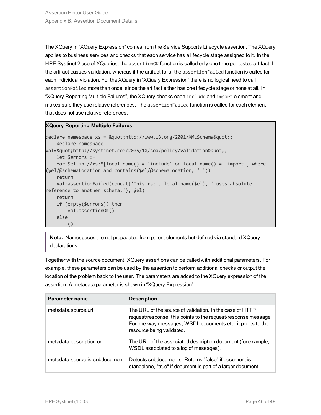Assertion Editor User Guide Appendix B: Assertion Document Details

The XQuery in "XQuery Expression" comes from the Service Supports Lifecycle assertion. The XQuery applies to business services and checks that each service has a lifecycle stage assigned to it. In the HPE Systinet 2 use of XQueries, the assertionOK function is called only one time per tested artifact if the artifact passes validation, whereas if the artifact fails, the assertionFailed function is called for each individual violation. For the XQuery in "XQuery Expression" there is no logical need to call assertionFailed more than once, since the artifact either has one lifecycle stage or none at all. In "XQuery Reporting Multiple Failures", the XQuery checks each include and import element and makes sure they use relative references. The assertionFailed function is called for each element that does not use relative references.

#### **XQuery Reporting Multiple Failures**

```
declare namespace xs = &quot;http://www.w3.org/2001/XMLSchema";
   declare namespace
val="http://systinet.com/2005/10/soa/policy/validation";
   let $errors :=
   for $el in //xs:*[local-name() = 'include' or local-name() = 'import'] where
($el/@schemaLocation and contains($el/@schemaLocation, ':'))
   return
   val:assertionFailed(concat('This xs:', local-name($el), ' uses absolute
reference to another schema.'), $el)
   return
   if (empty($errors)) then
       val:assertionOK()
   else
        ()
```
**Note:** Namespaces are not propagated from parent elements but defined via standard XQuery declarations.

Together with the source document, XQuery assertions can be called with additional parameters. For example, these parameters can be used by the assertion to perform additional checks or output the location of the problem back to the user. The parameters are added to the XQuery expression of the assertion. A metadata parameter is shown in "XQuery Expression".

| Parameter name                 | <b>Description</b>                                                                                                                                                                                                    |
|--------------------------------|-----------------------------------------------------------------------------------------------------------------------------------------------------------------------------------------------------------------------|
| metadata.source.url            | The URL of the source of validation. In the case of HTTP<br>request/response, this points to the request/response message.<br>For one-way messages, WSDL documents etc. it points to the<br>resource being validated. |
| metadata.description.url       | The URL of the associated description document (for example,<br>WSDL associated to a log of messages).                                                                                                                |
| metadata.source.is.subdocument | Detects subdocuments. Returns "false" if document is<br>standalone, "true" if document is part of a larger document.                                                                                                  |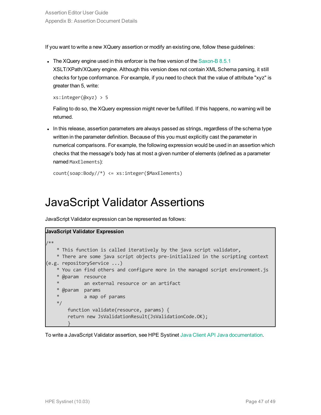If you want to write a new XQuery assertion or modify an existing one, follow these guidelines:

 $\bullet$  The XQuery engine used in this enforcer is the free version of the [Saxon-B](http://www.saxonica.com/) 8.5.1 XSLT/XPath/XQuery engine. Although this version does not contain XML Schema parsing, it still checks for type conformance. For example, if you need to check that the value of attribute "xyz" is greater than 5, write:

```
xs:integer(@xyz) > 5
```
Failing to do so, the XQuery expression might never be fulfilled. If this happens, no warning will be returned.

• In this release, assertion parameters are always passed as strings, regardless of the schema type written in the parameter definition. Because of this you must explicitly cast the parameter in numerical comparisons. For example, the following expression would be used in an assertion which checks that the message's body has at most a given number of elements (defined as a parameter named MaxElements):

```
count(soap:Body//*) <= xs:integer($MaxElements)
```
#### JavaScript Validator Assertions

JavaScript Validator expression can be represented as follows:

```
JavaScript Validator Expression
/**
    * This function is called iteratively by the java script validator,
    * There are some java script objects pre-initialized in the scripting context
(e.g. repositoryService ...)
    * You can find others and configure more in the managed script environment.js
    * @param resource
            an external resource or an artifact
    * @param params
             a map of params
    */
        function validate(resource, params) {
        return new JsValidationResult(JsValidationCode.OK);
        }
```
To write a JavaScript Validator assertion, see HPE Systinet Java Client API Java documentation.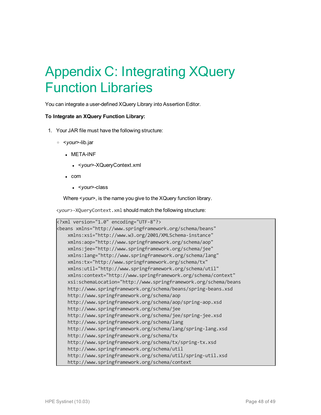## <span id="page-47-0"></span>Appendix C: Integrating XQuery Function Libraries

You can integrate a user-defined XQuery Library into Assertion Editor.

#### **To Integrate an XQuery Function Library:**

- 1. Your JAR file must have the following structure:
	- <sup>o</sup> <*your*>-lib.jar
		- **.** META-INF
			- <sup>l</sup> <*your*>-XQueryContext.xml
		- com
			- <sup>l</sup> <*your*>-class

Where <*your*>, is the name you give to the XQuery function library.

<*your*>-XQueryContext.xml should match the following structure:

```
<?xml version="1.0" encoding="UTF-8"?>
<beans xmlns="http://www.springframework.org/schema/beans"
   xmlns:xsi="http://www.w3.org/2001/XMLSchema-instance"
   xmlns:aop="http://www.springframework.org/schema/aop"
   xmlns:jee="http://www.springframework.org/schema/jee"
   xmlns:lang="http://www.springframework.org/schema/lang"
   xmlns:tx="http://www.springframework.org/schema/tx"
   xmlns:util="http://www.springframework.org/schema/util"
   xmlns:context="http://www.springframework.org/schema/context"
   xsi:schemaLocation="http://www.springframework.org/schema/beans
   http://www.springframework.org/schema/beans/spring-beans.xsd
   http://www.springframework.org/schema/aop
   http://www.springframework.org/schema/aop/spring-aop.xsd
   http://www.springframework.org/schema/jee
   http://www.springframework.org/schema/jee/spring-jee.xsd
   http://www.springframework.org/schema/lang
   http://www.springframework.org/schema/lang/spring-lang.xsd
   http://www.springframework.org/schema/tx
   http://www.springframework.org/schema/tx/spring-tx.xsd
   http://www.springframework.org/schema/util
   http://www.springframework.org/schema/util/spring-util.xsd
   http://www.springframework.org/schema/context
```